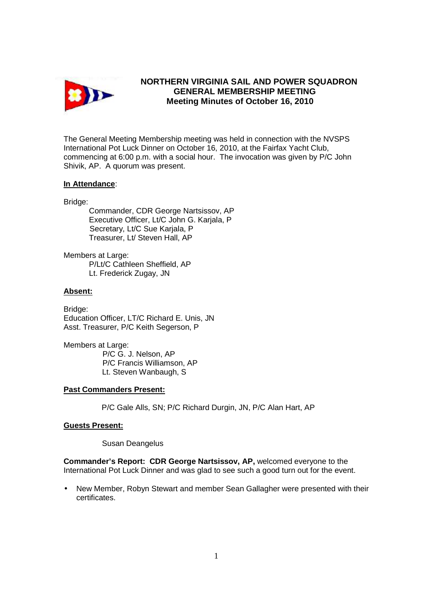

# **NORTHERN VIRGINIA SAIL AND POWER SQUADRON GENERAL MEMBERSHIP MEETING Meeting Minutes of October 16, 2010**

The General Meeting Membership meeting was held in connection with the NVSPS International Pot Luck Dinner on October 16, 2010, at the Fairfax Yacht Club, commencing at 6:00 p.m. with a social hour. The invocation was given by P/C John Shivik, AP. A quorum was present.

## **In Attendance**:

Bridge:

 Commander, CDR George Nartsissov, AP Executive Officer, Lt/C John G. Karjala, P Secretary, Lt/C Sue Karjala, P Treasurer, Lt/ Steven Hall, AP

Members at Large: P/Lt/C Cathleen Sheffield, AP Lt. Frederick Zugay, JN

## **Absent:**

Bridge: Education Officer, LT/C Richard E. Unis, JN Asst. Treasurer, P/C Keith Segerson, P

Members at Large: P/C G. J. Nelson, AP P/C Francis Williamson, AP Lt. Steven Wanbaugh, S

#### **Past Commanders Present:**

P/C Gale Alls, SN; P/C Richard Durgin, JN, P/C Alan Hart, AP

#### **Guests Present:**

Susan Deangelus

**Commander's Report: CDR George Nartsissov, AP,** welcomed everyone to the International Pot Luck Dinner and was glad to see such a good turn out for the event.

• New Member, Robyn Stewart and member Sean Gallagher were presented with their certificates.